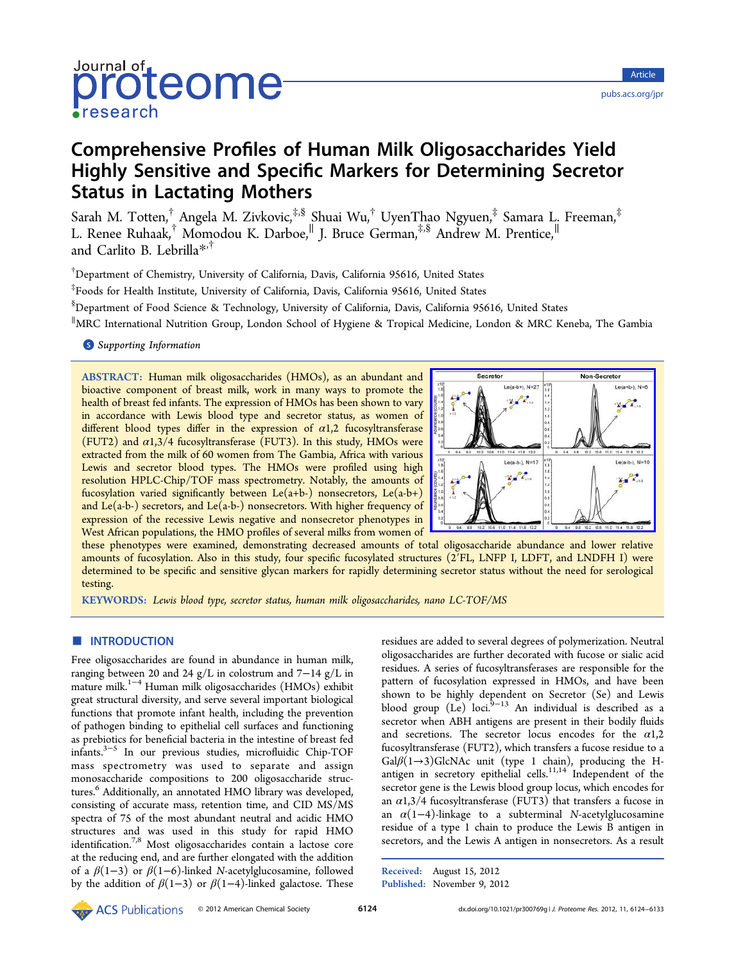# Journal of röteome  $\bullet$ research

# Comprehensive Profiles of Human Milk Oligosaccharides Yield Highly Sensitive and Specific Markers for Determining Secretor Status in Lactating Mothers

Sarah M. Totten,<sup>†</sup> Angela M. Zivkovic,<sup>‡,§</sup> Shuai Wu,<sup>†</sup> UyenThao Ngyuen,<sup>‡</sup> Samara L. Freeman,<sup>‡</sup> L. Renee Ruhaak,† Momodou K. Darboe,<sup>∥</sup> J. Bruce German,‡,§ Andrew M. Prentice,<sup>∥</sup> and Carlito B. Lebrilla\*,†

† Department of Chemistry, [Un](#page-8-0)iversity of California, Davis, California 95616, United States

‡ Foods for Health Institute, University of California, Davis, California 95616, United States

§ Department of Food Science & Technology, University of California, Davis, California 95616, United States

∥ MRC International Nutrition Group, London School of Hygiene & Tropical Medicine, London & MRC Keneba, The Gambia

# **S** Supporting Information

[AB](#page-8-0)STRACT: [Human milk](#page-8-0) oligosaccharides (HMOs), as an abundant and bioactive component of breast milk, work in many ways to promote the health of breast fed infants. The expression of HMOs has been shown to vary in accordance with Lewis blood type and secretor status, as women of different blood types differ in the expression of  $\alpha$ 1,2 fucosyltransferase (FUT2) and  $\alpha$ 1,3/4 fucosyltransferase (FUT3). In this study, HMOs were extracted from the milk of 60 women from The Gambia, Africa with various Lewis and secretor blood types. The HMOs were profiled using high resolution HPLC-Chip/TOF mass spectrometry. Notably, the amounts of fucosylation varied significantly between  $Le(a+b-)$  nonsecretors,  $Le(a-b+)$ and Le(a-b-) secretors, and Le(a-b-) nonsecretors. With higher frequency of expression of the recessive Lewis negative and nonsecretor phenotypes in West African populations, the HMO profiles of several milks from women of



these phenotypes were examined, demonstrating decreased amounts of tot[al oligosaccharide abundance and lower relative](http://pubs.acs.org/action/showImage?doi=10.1021/pr300769g&iName=master.img-000.jpg&w=186&h=134) amounts of fucosylation. Also in this study, four specific fucosylated structures (2′FL, LNFP I, LDFT, and LNDFH I) were determined to be specific and sensitive glycan markers for rapidly determining secretor status without the need for serological testing.

KEYWORDS: Lewis blood type, secretor status, human milk oligosaccharides, nano LC-TOF/MS

# **ENTRODUCTION**

Free oligosaccharides are found in abundance in human milk, ranging between 20 and 24 g/L in colostrum and 7−14 g/L in mature milk.1−<sup>4</sup> Human milk oligosaccharides (HMOs) exhibit great structural diversity, and serve several important biological functions th[at p](#page-8-0)romote infant health, including the prevention of pathogen binding to epithelial cell surfaces and functioning as prebiotics for beneficial bacteria in the intestine of breast fed infants.3−<sup>5</sup> In our previous studies, microfluidic Chip-TOF mass spectrometry was used to separate and assign monos[acch](#page-8-0)aride compositions to 200 oligosaccharide structures.<sup>6</sup> Additionally, an annotated HMO library was developed, consisting of accurate mass, retention time, and CID MS/MS spect[ra](#page-8-0) of 75 of the most abundant neutral and acidic HMO structures and was used in this study for rapid HMO identification.<sup>7,8</sup> Most oligosaccharides contain a lactose core at the reducing end, and are further elongated with the addition of a  $\beta(1-3)$  [or](#page-8-0)  $\beta(1-6)$ -linked N-acetylglucosamine, followed by the addition of  $\beta(1-3)$  or  $\beta(1-4)$ -linked galactose. These residues are added to several degrees of polymerization. Neutral oligosaccharides are further decorated with fucose or sialic acid residues. A series of fucosyltransferases are responsible for the pattern of fucosylation expressed in HMOs, and have been shown to be highly dependent on Secretor (Se) and Lewis blood group (Le) loci.<sup>9−13</sup> An individual is described as a secretor when ABH antigens are present in their bodily fluids and s[e](#page-8-0)c[ret](#page-8-0)ions. The secretor locus encodes for the  $\alpha$ 1,2 fucosyltransferase (FUT2), which transfers a fucose residue to a Gal $\beta(1\rightarrow 3)$ GlcNAc unit (type 1 chain), producing the Hantigen in secretory epithelial cells. $11,14$  Independent of the secretor gene is the Lewis blood group locus, which encodes for an  $\alpha$ 1,3/4 fucosyltransferase (FUT3[\) that](#page-8-0) transfers a fucose in an  $\alpha(1-4)$ -linkage to a subterminal N-acetylglucosamine residue of a type 1 chain to produce the Lewis B antigen in secretors, and the Lewis A antigen in nonsecretors. As a result

Received: August 15, 2012 Published: November 9, 2012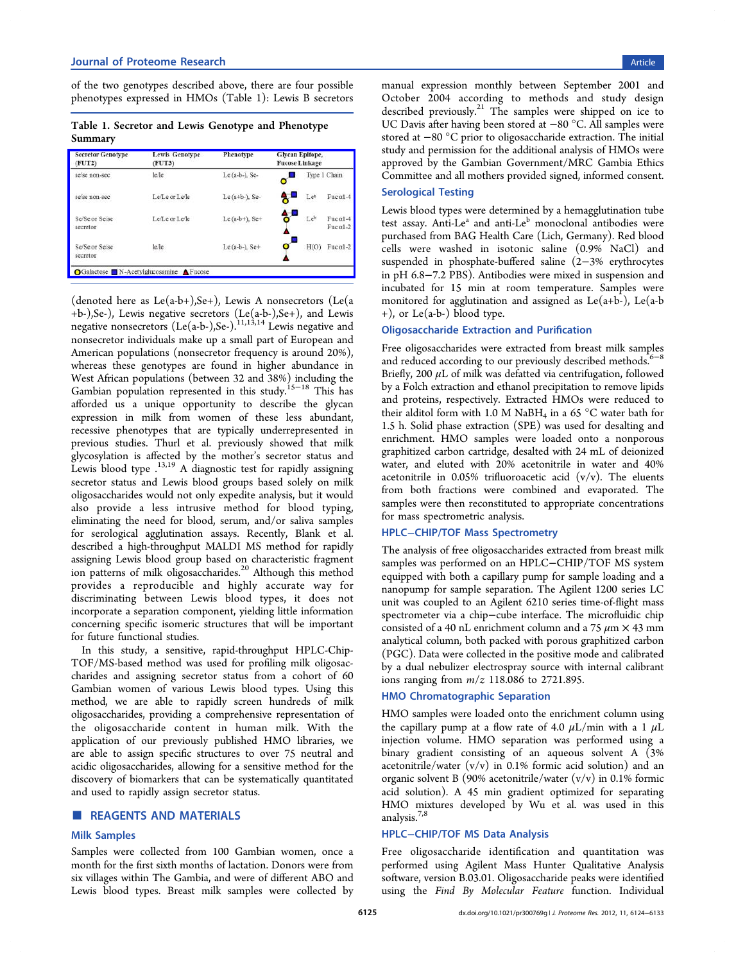of the two genotypes described above, there are four possible phenotypes expressed in HMOs (Table 1): Lewis B secretors

Table 1. Secretor and Lewis Genotype and Phenotype Summary

| <b>Secretor Genotype</b><br>$($ FUT2 $)$ | <b>Lewis Genotype</b><br>(FUT3) | Phenotype        | Glycan Epitope,<br><b>Fucose Linkage</b>  |  |  |
|------------------------------------------|---------------------------------|------------------|-------------------------------------------|--|--|
| se/se non-sec                            | le/le                           | Le (a-b-), Se-   | Type 1 Chain                              |  |  |
| se/se non-sec                            | Le/Le or Le/le                  | Le $(a+b)$ , Se- | a.<br>Fuc $\alpha$ 1-4<br>Lea             |  |  |
| Se/Se or Se/se<br>secretor               | Le/Le or Le/le                  | $Le$ (a-b+), Se+ | ₩<br>Leb<br>Fuc $\alpha$ 1-4<br>$Fucol-2$ |  |  |
| Se/Se or Se/se<br>secretor               | le/le                           | Le (a-b-), $Set$ | H(O)<br>Fuc $\alpha$ 1-2                  |  |  |

(denoted here as  $Le(a-b+)$ , Se+), Lewis A nonsecretors (Le(a +b-),Se-), Lewis negative secretors (Le(a-b-),Se+), and Lewis negative nonsecretors (Le(a-b-),Se-).<sup>11,13,14</sup> Lewis negative and nonsecretor individuals make up a small part of European and American populations (nonsecretor [frequen](#page-8-0)cy is around 20%), whereas these genotypes are found in higher abundance in West African populations (between 32 and 38%) including the Gambian population represented in this study.15−<sup>18</sup> This has afforded us a unique opportunity to describe the glycan expression in milk from women of these [less](#page-8-0) abundant, recessive phenotypes that are typically underrepresented in previous studies. Thurl et al. previously showed that milk glycosylation is affected by the mother's secretor status and Lewis blood type  $^{13,19}$  A diagnostic test for rapidly assigning secretor status and Lewis blood groups based solely on milk oligosaccharides w[ould](#page-8-0) not only expedite analysis, but it would also provide a less intrusive method for blood typing, eliminating the need for blood, serum, and/or saliva samples for serological agglutination assays. Recently, Blank et al. described a high-throughput MALDI MS method for rapidly assigning Lewis blood group based on characteristic fragment ion patterns of milk oligosaccharides.<sup>20</sup> Although this method provides a reproducible and highly accurate way for discriminating between Lewis blo[od](#page-8-0) types, it does not incorporate a separation component, yielding little information concerning specific isomeric structures that will be important for future functional studies.

In this study, a sensitive, rapid-throughput HPLC-Chip-TOF/MS-based method was used for profiling milk oligosaccharides and assigning secretor status from a cohort of 60 Gambian women of various Lewis blood types. Using this method, we are able to rapidly screen hundreds of milk oligosaccharides, providing a comprehensive representation of the oligosaccharide content in human milk. With the application of our previously published HMO libraries, we are able to assign specific structures to over 75 neutral and acidic oligosaccharides, allowing for a sensitive method for the discovery of biomarkers that can be systematically quantitated and used to rapidly assign secretor status.

## **ENDINATERIALS**

#### Milk Samples

Samples were collected from 100 Gambian women, once a month for the first sixth months of lactation. Donors were from six villages within The Gambia, and were of different ABO and Lewis blood types. Breast milk samples were collected by

manual expression monthly between September 2001 and October 2004 according to methods and study design described previously.<sup>21</sup> The samples were shipped on ice to UC Davis after having been stored at −80 °C. All samples were stored at −80 °C pri[or](#page-8-0) to oligosaccharide extraction. The initial study and permission for the additional analysis of HMOs were approved by the Gambian Government/MRC Gambia Ethics Committee and all mothers provided signed, informed consent.

### Serological Testing

Lewis blood types were determined by a hemagglutination tube test assay. Anti-Le $^a$  and anti-Le $^b$  monoclonal antibodies were purchased from BAG Health Care (Lich, Germany). Red blood cells were washed in isotonic saline (0.9% NaCl) and suspended in phosphate-buffered saline (2−3% erythrocytes in pH 6.8−7.2 PBS). Antibodies were mixed in suspension and incubated for 15 min at room temperature. Samples were monitored for agglutination and assigned as  $Le(a+b-)$ ,  $Le(a-b)$ +), or Le(a-b-) blood type.

### Oligosaccharide Extraction and Purification

Free oligosaccharides were extracted from breast milk samples and reduced according to our previously described methods.<sup>6−8</sup> Briefly, 200  $\mu$ L of milk was defatted via centrifugation, followed by a Folch extraction and ethanol precipitation to remove li[pids](#page-8-0) and proteins, respectively. Extracted HMOs were reduced to their alditol form with 1.0 M NaBH<sub>4</sub> in a 65 °C water bath for 1.5 h. Solid phase extraction (SPE) was used for desalting and enrichment. HMO samples were loaded onto a nonporous graphitized carbon cartridge, desalted with 24 mL of deionized water, and eluted with 20% acetonitrile in water and 40% acetonitrile in 0.05% trifluoroacetic acid  $(v/v)$ . The eluents from both fractions were combined and evaporated. The samples were then reconstituted to appropriate concentrations for mass spectrometric analysis.

# HPLC−CHIP/TOF Mass Spectrometry

The analysis of free oligosaccharides extracted from breast milk samples was performed on an HPLC−CHIP/TOF MS system equipped with both a capillary pump for sample loading and a nanopump for sample separation. The Agilent 1200 series LC unit was coupled to an Agilent 6210 series time-of-flight mass spectrometer via a chip−cube interface. The microfluidic chip consisted of a 40 nL enrichment column and a 75  $\mu$ m  $\times$  43 mm analytical column, both packed with porous graphitized carbon (PGC). Data were collected in the positive mode and calibrated by a dual nebulizer electrospray source with internal calibrant ions ranging from  $m/z$  118.086 to 2721.895.

#### HMO Chromatographic Separation

HMO samples were loaded onto the enrichment column using the capillary pump at a flow rate of 4.0  $\mu$ L/min with a 1  $\mu$ L injection volume. HMO separation was performed using a binary gradient consisting of an aqueous solvent A (3% acetonitrile/water  $(v/v)$  in 0.1% formic acid solution) and an organic solvent B (90% acetonitrile/water  $(v/v)$  in 0.1% formic acid solution). A 45 min gradient optimized for separating HMO mixtures developed by Wu et al. was used in this analysis.7,8

### HPLC−CHIP/TOF MS Data Analysis

Free o[ligo](#page-8-0)saccharide identification and quantitation was performed using Agilent Mass Hunter Qualitative Analysis software, version B.03.01. Oligosaccharide peaks were identified using the Find By Molecular Feature function. Individual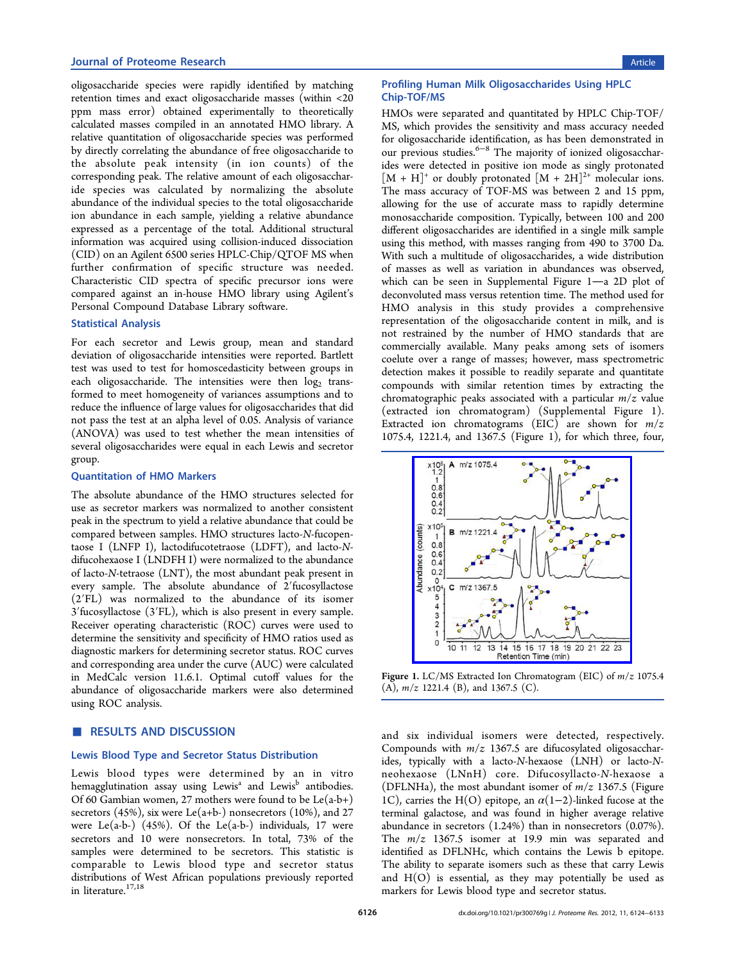oligosaccharide species were rapidly identified by matching retention times and exact oligosaccharide masses (within <20 ppm mass error) obtained experimentally to theoretically calculated masses compiled in an annotated HMO library. A relative quantitation of oligosaccharide species was performed by directly correlating the abundance of free oligosaccharide to the absolute peak intensity (in ion counts) of the corresponding peak. The relative amount of each oligosaccharide species was calculated by normalizing the absolute abundance of the individual species to the total oligosaccharide ion abundance in each sample, yielding a relative abundance expressed as a percentage of the total. Additional structural information was acquired using collision-induced dissociation (CID) on an Agilent 6500 series HPLC-Chip/QTOF MS when further confirmation of specific structure was needed. Characteristic CID spectra of specific precursor ions were compared against an in-house HMO library using Agilent's Personal Compound Database Library software.

## Statistical Analysis

For each secretor and Lewis group, mean and standard deviation of oligosaccharide intensities were reported. Bartlett test was used to test for homoscedasticity between groups in each oligosaccharide. The intensities were then  $log<sub>2</sub>$  transformed to meet homogeneity of variances assumptions and to reduce the influence of large values for oligosaccharides that did not pass the test at an alpha level of 0.05. Analysis of variance (ANOVA) was used to test whether the mean intensities of several oligosaccharides were equal in each Lewis and secretor group.

#### Quantitation of HMO Markers

The absolute abundance of the HMO structures selected for use as secretor markers was normalized to another consistent peak in the spectrum to yield a relative abundance that could be compared between samples. HMO structures lacto-N-fucopentaose I (LNFP I), lactodifucotetraose (LDFT), and lacto-Ndifucohexaose I (LNDFH I) were normalized to the abundance of lacto-N-tetraose (LNT), the most abundant peak present in every sample. The absolute abundance of 2′fucosyllactose (2′FL) was normalized to the abundance of its isomer 3′fucosyllactose (3′FL), which is also present in every sample. Receiver operating characteristic (ROC) curves were used to determine the sensitivity and specificity of HMO ratios used as diagnostic markers for determining secretor status. ROC curves and corresponding area under the curve (AUC) were calculated in MedCalc version 11.6.1. Optimal cutoff values for the abundance of oligosaccharide markers were also determined using ROC analysis.

## **RESULTS AND DISCUSSION**

## Lewis Blood Type and Secretor Status Distribution

Lewis blood types were determined by an in vitro hemagglutination assay using Lewis<sup>a</sup> and Lewis<sup>b</sup> antibodies. Of 60 Gambian women, 27 mothers were found to be Le(a-b+) secretors (45%), six were Le(a+b-) nonsecretors (10%), and 27 were Le(a-b-) (45%). Of the Le(a-b-) individuals, 17 were secretors and 10 were nonsecretors. In total, 73% of the samples were determined to be secretors. This statistic is comparable to Lewis blood type and secretor status distributions of West African populations previously reported in literature. $^{17,18}$ 

# Profiling Human Milk Oligosaccharides Using HPLC Chip-TOF/MS

HMOs were separated and quantitated by HPLC Chip-TOF/ MS, which provides the sensitivity and mass accuracy needed for oligosaccharide identification, as has been demonstrated in our previous studies.<sup>6−8</sup> The majority of ionized oligosaccharides were detected in positive ion mode as singly protonated  $[M + H]^+$  or doubl[y](#page-8-0) [pr](#page-8-0)otonated  $[M + 2H]^{2+}$  molecular ions. The mass accuracy of TOF-MS was between 2 and 15 ppm, allowing for the use of accurate mass to rapidly determine monosaccharide composition. Typically, between 100 and 200 different oligosaccharides are identified in a single milk sample using this method, with masses ranging from 490 to 3700 Da. With such a multitude of oligosaccharides, a wide distribution of masses as well as variation in abundances was observed, which can be seen in Supplemental Figure  $1$ —a 2D plot of deconvoluted mass versus retention time. The method used for HMO analysis in t[his study provides a](#page-8-0) comprehensive representation of the oligosaccharide content in milk, and is not restrained by the number of HMO standards that are commercially available. Many peaks among sets of isomers coelute over a range of masses; however, mass spectrometric detection makes it possible to readily separate and quantitate compounds with similar retention times by extracting the chromatographic peaks associated with a particular  $m/z$  value (extracted ion chromatogram) (Supplemental Figure 1). Extracted ion chromatograms (EIC) are shown for  $m/z$ 1075.4, 1221.4, and 1367.5 (Figur[e 1\), for which three, fou](#page-8-0)r,



Figure 1. [LC/MS Extracted Ion Chromatogram \(EIC\) of](http://pubs.acs.org/action/showImage?doi=10.1021/pr300769g&iName=master.img-002.jpg&w=181&h=171)  $m/z$  1075.4 (A),  $m/z$  1221.4 (B), and 1367.5 (C).

and six individual isomers were detected, respectively. Compounds with  $m/z$  1367.5 are difucosylated oligosaccharides, typically with a lacto-N-hexaose (LNH) or lacto-Nneohexaose (LNnH) core. Difucosyllacto-N-hexaose a (DFLNHa), the most abundant isomer of  $m/z$  1367.5 (Figure 1C), carries the H(O) epitope, an  $\alpha(1-2)$ -linked fucose at the terminal galactose, and was found in higher average relative abundance in secretors (1.24%) than in nonsecretors (0.07%). The  $m/z$  1367.5 isomer at 19.9 min was separated and identified as DFLNHc, which contains the Lewis b epitope. The ability to separate isomers such as these that carry Lewis and  $H(O)$  is essential, as they may potentially be used as markers for Lewis blood type and secretor status.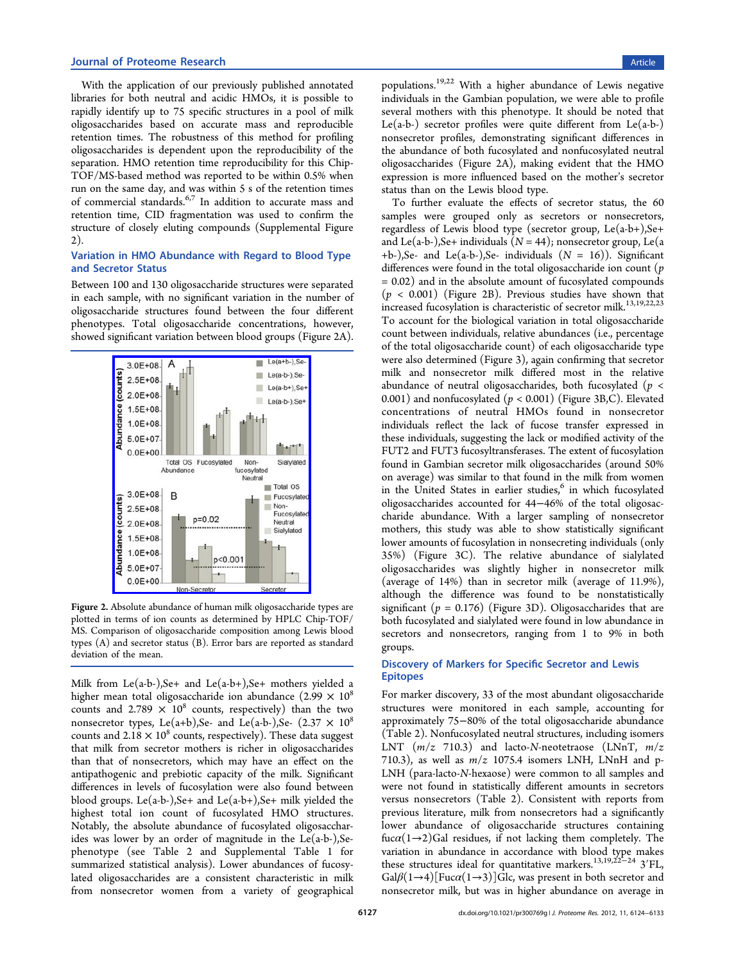With the application of our previously published annotated libraries for both neutral and acidic HMOs, it is possible to rapidly identify up to 75 specific structures in a pool of milk oligosaccharides based on accurate mass and reproducible retention times. The robustness of this method for profiling oligosaccharides is dependent upon the reproducibility of the separation. HMO retention time reproducibility for this Chip-TOF/MS-based method was reported to be within 0.5% when run on the same day, and was within 5 s of the retention times of commercial standards.<sup>6,7</sup> In addition to accurate mass and retention time, CID fragmentation was used to confirm the structure of closely eluti[ng](#page-8-0) compounds (Supplemental Figure 2).

## Variation in HMO Abundance with Re[gard to Blood Type](#page-8-0) [a](#page-8-0)nd Secretor Status

Between 100 and 130 oligosaccharide structures were separated in each sample, with no significant variation in the number of oligosaccharide structures found between the four different phenotypes. Total oligosaccharide concentrations, however, showed significant variation between blood groups (Figure 2A).



Figure 2. [Absolute abundance of human milk oligosaccharid](http://pubs.acs.org/action/showImage?doi=10.1021/pr300769g&iName=master.img-003.jpg&w=163&h=197)e types are plotted in terms of ion counts as determined by HPLC Chip-TOF/ MS. Comparison of oligosaccharide composition among Lewis blood types (A) and secretor status (B). Error bars are reported as standard deviation of the mean.

Milk from Le(a-b-),Se+ and Le(a-b+),Se+ mothers yielded a higher mean total oligosaccharide ion abundance  $(2.99 \times 10^8$ counts and  $2.789 \times 10^8$  counts, respectively) than the two nonsecretor types, Le(a+b),Se- and Le(a-b-),Se-  $(2.37 \times 10^8)$ counts and  $2.18 \times 10^8$  counts, respectively). These data suggest that milk from secretor mothers is richer in oligosaccharides than that of nonsecretors, which may have an effect on the antipathogenic and prebiotic capacity of the milk. Significant differences in levels of fucosylation were also found between blood groups. Le(a-b-), Se+ and Le(a-b+), Se+ milk yielded the highest total ion count of fucosylated HMO structures. Notably, the absolute abundance of fucosylated oligosaccharides was lower by an order of magnitude in the Le(a-b-),Sephenotype (see Table 2 and Supplemental Table 1 for summarized statistical analysis). Lower abundances of fucosylated oligosaccharides ar[e](#page-4-0) a con[sistent characteristic in](#page-8-0) milk from nonsecretor women from a variety of geographical

populations.19,22 With a higher abundance of Lewis negative individuals in the Gambian population, we were able to profile several mot[hers](#page-8-0) with this phenotype. It should be noted that Le(a-b-) secretor profiles were quite different from  $Le(a-b-)$ nonsecretor profiles, demonstrating significant differences in the abundance of both fucosylated and nonfucosylated neutral oligosaccharides (Figure 2A), making evident that the HMO expression is more influenced based on the mother's secretor status than on the Lewis blood type.

To further evaluate the effects of secretor status, the 60 samples were grouped only as secretors or nonsecretors, regardless of Lewis blood type (secretor group, Le(a-b+),Se+ and Le(a-b-), Se+ individuals ( $N = 44$ ); nonsecretor group, Le(a +b-),Se- and Le(a-b-),Se- individuals  $(N = 16)$ ). Significant differences were found in the total oligosaccharide ion count  $(p)$ = 0.02) and in the absolute amount of fucosylated compounds  $(p < 0.001)$  (Figure 2B). Previous studies have shown that increased fucosylation is characteristic of secretor milk.<sup>13,19,22,23</sup> To account for the biological variation in total oligosaccharide count between individuals, relative abundances (i.e., p[ercentage](#page-8-0) of the total oligosaccharide count) of each oligosaccharide type were also determined (Figure 3), again confirming that secretor milk and nonsecretor milk differed most in the relative abundance of neutral oligosa[cc](#page-5-0)harides, both fucosylated ( $p <$ 0.001) and nonfucosylated ( $p < 0.001$ ) (Figure 3B,C). Elevated concentrations of neutral HMOs found in nonsecretor individuals reflect the lack of fucose transf[er](#page-5-0) expressed in these individuals, suggesting the lack or modified activity of the FUT2 and FUT3 fucosyltransferases. The extent of fucosylation found in Gambian secretor milk oligosaccharides (around 50% on average) was similar to that found in the milk from women in the United States in earlier studies, $6$  in which fucosylated oligosaccharides accounted for 44−46% of the total oligosaccharide abundance. With a larger sa[m](#page-8-0)pling of nonsecretor mothers, this study was able to show statistically significant lower amounts of fucosylation in nonsecreting individuals (only 35%) (Figure 3C). The relative abundance of sialylated oligosaccharides was slightly higher in nonsecretor milk (average of 14[%\)](#page-5-0) than in secretor milk (average of 11.9%), although the difference was found to be nonstatistically significant ( $p = 0.176$ ) (Figure 3D). Oligosaccharides that are both fucosylated and sialylated were found in low abundance in secretors and nonsecretors, ra[ng](#page-5-0)ing from 1 to 9% in both groups.

## Discovery of Markers for Specific Secretor and Lewis Epitopes

For marker discovery, 33 of the most abundant oligosaccharide structures were monitored in each sample, accounting for approximately 75−80% of the total oligosaccharide abundance (Table 2). Nonfucosylated neutral structures, including isomers LNT  $(m/z$  710.3) and lacto-N-neotetraose (LNnT,  $m/z$ 710.3), [a](#page-4-0)s well as  $m/z$  1075.4 isomers LNH, LNnH and p-LNH (para-lacto-N-hexaose) were common to all samples and were not found in statistically different amounts in secretors versus nonsecretors (Table 2). Consistent with reports from previous literature, milk from nonsecretors had a significantly lower abundance of oligo[sa](#page-4-0)ccharide structures containing fuc $\alpha(1\rightarrow 2)$ Gal residues, if not lacking them completely. The variation in abundance in accordance with blood type makes these structures ideal for quantitative markers.<sup>13,19,22</sup><sup>-24</sup> 3<sup>'</sup>FL,  $Gal\beta(1\rightarrow4)[Fucc\alpha(1\rightarrow3)]$ Glc, was present in both secretor and nonsecretor milk, but was in higher abundanc[e](#page-8-0) [on avera](#page-8-0)ge in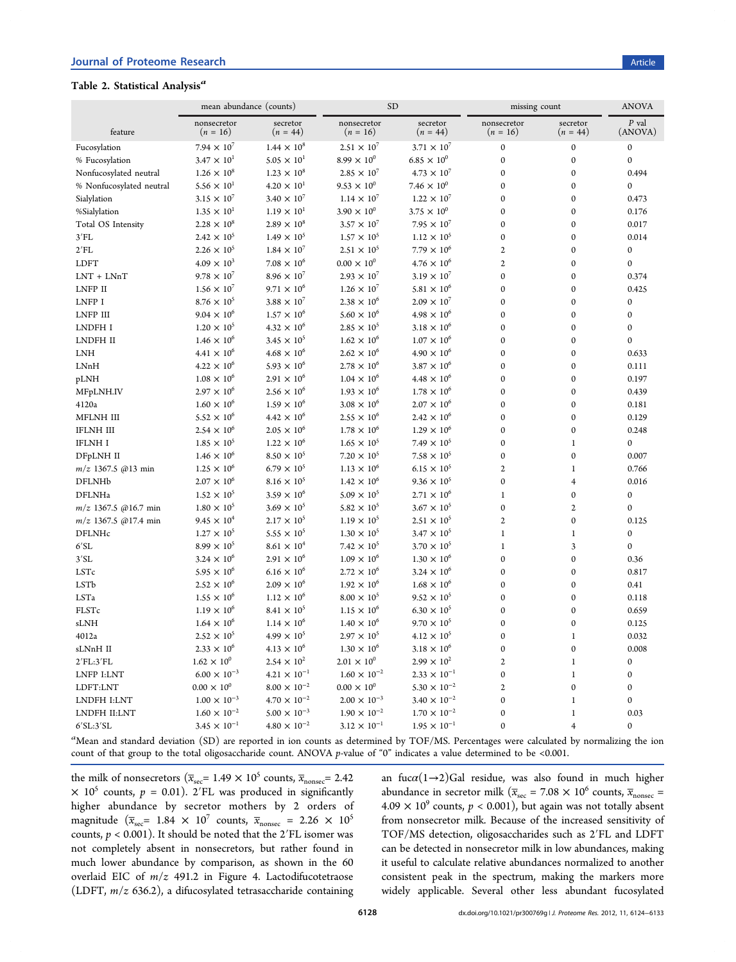# <span id="page-4-0"></span>Table 2. Statistical Analysis<sup>a</sup>

|                            | mean abundance (counts)<br><b>SD</b> |                        |                           | missing count                 |                           | <b>ANOVA</b>           |                    |
|----------------------------|--------------------------------------|------------------------|---------------------------|-------------------------------|---------------------------|------------------------|--------------------|
| feature                    | nonsecretor<br>$(n = 16)$            | secretor<br>$(n = 44)$ | nonsecretor<br>$(n = 16)$ | secretor<br>$(n = 44)$        | nonsecretor<br>$(n = 16)$ | secretor<br>$(n = 44)$ | $P$ val<br>(ANOVA) |
| Fucosylation               | $7.94 \times 10^{7}$                 | $1.44 \times 10^{8}$   | $2.51 \times 10^{7}$      | $3.71 \times 10^{7}$          | $\boldsymbol{0}$          | $\boldsymbol{0}$       | 0                  |
| % Fucosylation             | $3.47\times10^{1}$                   | $5.05 \times 10^{1}$   | $8.99 \times 10^{0}$      | $6.85 \times 10^{0}$          | $\boldsymbol{0}$          | $\boldsymbol{0}$       | $\mathbf{0}$       |
| Nonfucosylated neutral     | $1.26\times10^8$                     | $1.23 \times 10^{8}$   | $2.85 \times 10^{7}$      | $4.73 \times 10^{7}$          | $\boldsymbol{0}$          | $\boldsymbol{0}$       | 0.494              |
| % Nonfucosylated neutral   | $5.56 \times 10^{1}$                 | $4.20 \times 10^{1}$   | $9.53 \times 10^{0}$      | $7.46 \times 10^{0}$          | $\mathbf{0}$              | $\mathbf{0}$           | 0                  |
| Sialylation                | $3.15 \times 10^{7}$                 | $3.40 \times 10^{7}$   | $1.14 \times 10^{7}$      | $1.22 \times 10^{7}$          | $\boldsymbol{0}$          | $\boldsymbol{0}$       | 0.473              |
| %Sialylation               | $1.35 \times 10^{1}$                 | $1.19 \times 10^{1}$   | $3.90 \times 10^{0}$      | $3.75\times10^{0}$            | $\boldsymbol{0}$          | $\boldsymbol{0}$       | 0.176              |
| Total OS Intensity         | $2.28 \times 10^{8}$                 | $2.89 \times 10^{8}$   | $3.57 \times 10^{7}$      | $7.95 \times 10^{7}$          | $\boldsymbol{0}$          | $\boldsymbol{0}$       | 0.017              |
| 3'FL                       | $2.42 \times 10^{5}$                 | $1.49 \times 10^{5}$   | $1.57 \times 10^{5}$      | $1.12 \times 10^{5}$          | $\boldsymbol{0}$          | $\boldsymbol{0}$       | 0.014              |
| 2'FL                       | $2.26 \times 10^{5}$                 | $1.84 \times 10^{7}$   | $2.51 \times 10^{5}$      | $7.79 \times 10^{6}$          | $\mathfrak{2}$            | $\mathbf{0}$           | $\boldsymbol{0}$   |
| LDFT                       | $4.09 \times 10^{3}$                 | $7.08 \times 10^{6}$   | $0.00\times10^{0}$        | $4.76 \times 10^{6}$          | $\mathfrak{2}$            | $\boldsymbol{0}$       | $\boldsymbol{0}$   |
| $LNT + LNnT$               | $9.78 \times 10^{7}$                 | $8.96 \times 10^{7}$   | $2.93 \times 10^{7}$      | $3.19 \times 10^{7}$          | $\boldsymbol{0}$          | $\boldsymbol{0}$       | 0.374              |
| LNFP II                    | $1.56\times10^7$                     | $9.71 \times 10^{6}$   | $1.26 \times 10^{7}$      | $5.81 \times 10^{6}$          | $\boldsymbol{0}$          | $\boldsymbol{0}$       | 0.425              |
| LNFP I                     | $8.76\times10^5$                     | $3.88 \times 10^{7}$   | $2.38 \times 10^{6}$      | $2.09\times10^7$              | $\boldsymbol{0}$          | $\boldsymbol{0}$       | $\boldsymbol{0}$   |
| LNFP III                   | $9.04 \times 10^{6}$                 | $1.57 \times 10^{6}$   | $5.60 \times 10^{6}$      | $4.98 \times 10^{6}$          | $\boldsymbol{0}$          | $\mathbf{0}$           | $\boldsymbol{0}$   |
| LNDFH I                    | $1.20 \times 10^{5}$                 | $4.32 \times 10^{6}$   | $2.85 \times 10^{5}$      | $3.18 \times 10^{6}$          | $\mathbf{0}$              | $\mathbf{0}$           | $\mathbf{0}$       |
| LNDFH II                   | $1.46\times10^6$                     | $3.45 \times 10^{5}$   | $1.62 \times 10^{6}$      | $1.07 \times 10^6$            | 0                         | 0                      | 0                  |
| <b>LNH</b>                 | $4.41 \times 10^{6}$                 | $4.68 \times 10^{6}$   | $2.62\times10^6$          | $4.90 \times 10^{6}$          | $\boldsymbol{0}$          | $\boldsymbol{0}$       | 0.633              |
| LMnH                       | $4.22 \times 10^{6}$                 | $5.93 \times 10^{6}$   | $2.78 \times 10^{6}$      | $3.87 \times 10^{6}$          | $\boldsymbol{0}$          | $\boldsymbol{0}$       | 0.111              |
| pLNH                       | $1.08 \times 10^{6}$                 | $2.91\,\times\,10^6$   | $1.04 \times 10^{6}$      | $4.48 \times 10^{6}$          | $\boldsymbol{0}$          | $\boldsymbol{0}$       | 0.197              |
| MFpLNH.IV                  | $2.97\times10^6$                     | $2.56 \times 10^{6}$   | $1.93 \times 10^{6}$      | $1.78 \times 10^{6}$          | $\boldsymbol{0}$          | $\boldsymbol{0}$       | 0.439              |
| 4120a                      | $1.60 \times 10^{6}$                 | $1.59 \times 10^{6}$   | $3.08 \times 10^{6}$      | $2.07 \times 10^{6}$          | $\boldsymbol{0}$          | $\boldsymbol{0}$       | 0.181              |
| MFLNH III                  | $5.52\times10^6$                     | $4.42 \times 10^{6}$   | $2.55 \times 10^{6}$      | $2.42 \times 10^{6}$          | $\boldsymbol{0}$          | $\boldsymbol{0}$       | 0.129              |
| <b>IFLNH III</b>           | $2.54 \times 10^{6}$                 | $2.05\times10^6$       | $1.78\,\times\,10^6$      | $1.29 \times 10^{6}$          | $\boldsymbol{0}$          | $\boldsymbol{0}$       | 0.248              |
| <b>IFLNH I</b>             | $1.85 \times 10^{5}$                 | $1.22 \times 10^{6}$   | $1.65 \times 10^{5}$      | 7.49 $\times$ 10 <sup>5</sup> | $\boldsymbol{0}$          | $\mathbf{1}$           | $\boldsymbol{0}$   |
| DFpLNH II                  | $1.46 \times 10^{6}$                 | $8.50 \times 10^{5}$   | $7.20 \times 10^{5}$      | $7.58 \times 10^{5}$          | $\boldsymbol{0}$          | $\mathbf{0}$           | 0.007              |
| $m/z$ 1367.5 @13 min       | $1.25\times10^6$                     | $6.79 \times 10^{5}$   | $1.13 \times 10^{6}$      | $6.15 \times 10^{5}$          | $\mathfrak{2}$            | $\mathbf{1}$           | 0.766              |
| DFLNHb                     | $2.07\times10^6$                     | $8.16 \times 10^{5}$   | $1.42\times10^6$          | $9.36 \times 10^{5}$          | $\boldsymbol{0}$          | $\overline{4}$         | 0.016              |
| DFLNHa                     | $1.52 \times 10^{5}$                 | $3.59 \times 10^{6}$   | $5.09 \times 10^{5}$      | $2.71\times10^6$              | $\mathbf{1}$              | $\bf{0}$               | 0                  |
| $m/z$ 1367.5 @16.7 min     | $1.80 \times 10^{5}$                 | $3.69 \times 10^{5}$   | $5.82 \times 10^{5}$      | $3.67 \times 10^{5}$          | $\boldsymbol{0}$          | $\mathfrak{2}$         | $\mathbf 0$        |
| $m/z$ 1367.5 @17.4 min     | $9.45 \times 10^{4}$                 | $2.17 \times 10^{5}$   | $1.19 \times 10^{5}$      | $2.51 \times 10^{5}$          | $\mathfrak{2}$            | $\boldsymbol{0}$       | 0.125              |
| DFLNHc                     | $1.27 \times 10^{5}$                 | $5.55 \times 10^{5}$   | $1.30 \times 10^{5}$      | $3.47 \times 10^{5}$          | $\mathbf{1}$              | $\mathbf{1}$           | 0                  |
| 6'SL                       | $8.99 \times 10^{5}$                 | $8.61 \times 10^{4}$   | $7.42 \times 10^{5}$      | $3.70 \times 10^{5}$          | $\mathbf{1}$              | 3                      | $\mathbf{0}$       |
| 3'SL                       | $3.24 \times 10^{6}$                 | $2.91 \times 10^{6}$   | $1.09\times10^6$          | $1.30 \times 10^{6}$          | $\boldsymbol{0}$          | $\boldsymbol{0}$       | 0.36               |
| $\ensuremath{\text{LSTc}}$ | $5.95\times10^6$                     | $6.16 \times 10^{6}$   | $2.72 \times 10^6$        | $3.24 \times 10^{6}$          | $\boldsymbol{0}$          | $\boldsymbol{0}$       | 0.817              |
| LSTb                       | $2.52 \times 10^{6}$                 | $2.09 \times 10^{6}$   | $1.92 \times 10^{6}$      | $1.68 \times 10^{6}$          | $\boldsymbol{0}$          | $\boldsymbol{0}$       | 0.41               |
| LSTa                       | $1.55 \times 10^{6}$                 | $1.12\times10^6$       | $8.00 \times 10^{5}$      | $9.52 \times 10^{5}$          | $\boldsymbol{0}$          | $\boldsymbol{0}$       | 0.118              |
| FLSTc                      | $1.19 \times 10^{6}$                 | $8.41\,\times\,10^5$   | $1.15 \times 10^{6}$      | $6.30 \times 10^{5}$          | $\boldsymbol{0}$          | $\boldsymbol{0}$       | 0.659              |
| sLNH                       | $1.64\times10^6$                     | $1.14\times10^6$       | $1.40 \times 10^6$        | $9.70 \times 10^{5}$          | $\mathbf{0}$              | $\mathbf{0}$           | 0.125              |
| 4012a                      | $2.52 \times 10^{5}$                 | $4.99 \times 10^{5}$   | $2.97 \times 10^{5}$      | $4.12 \times 10^{5}$          | $\pmb{0}$                 | $\mathbf{1}$           | 0.032              |
| sLNnH II                   | $2.33 \times 10^{6}$                 | $4.13 \times 10^{6}$   | $1.30 \times 10^{6}$      | $3.18 \times 10^{6}$          | $\boldsymbol{0}$          | $\boldsymbol{0}$       | 0.008              |
| 2'FL:3'FL                  | $1.62 \times 10^{0}$                 | $2.54 \times 10^{2}$   | $2.01 \times 10^{0}$      | $2.99 \times 10^{2}$          | $\boldsymbol{2}$          | $\mathbf{1}$           | $\boldsymbol{0}$   |
| LNFP I:LNT                 | $6.00 \times 10^{-3}$                | $4.21 \times 10^{-1}$  | $1.60 \times 10^{-2}$     | $2.33 \times 10^{-1}$         | $\boldsymbol{0}$          | $\mathbf{1}$           | $\boldsymbol{0}$   |
| LDFT:LNT                   | $0.00 \times 10^{0}$                 | $8.00 \times 10^{-2}$  | $0.00 \times 10^{0}$      | $5.30 \times 10^{-2}$         | 2                         | $\boldsymbol{0}$       | $\boldsymbol{0}$   |
| LNDFH I:LNT                | $1.00 \times 10^{-3}$                | $4.70 \times 10^{-2}$  | $2.00 \times 10^{-3}$     | $3.40 \times 10^{-2}$         | $\boldsymbol{0}$          | $\mathbf{1}$           | 0                  |
| LNDFH II:LNT               | $1.60 \times 10^{-2}$                | $5.00 \times 10^{-3}$  | $1.90 \times 10^{-2}$     | $1.70 \times 10^{-2}$         | $\boldsymbol{0}$          | $\mathbf{1}$           | 0.03               |
| $6'SL:3'SL$                | $3.45 \times 10^{-1}$                | $4.80 \times 10^{-2}$  | $3.12 \times 10^{-1}$     | $1.95\times10^{-1}$           | $\boldsymbol{0}$          | $\overline{4}$         | 0                  |

 $a$ Mean and standard deviation  $(SD)$  are reported in ion counts as determined by TOF/MS. Percentages were calculated by normalizing the ion count of that group to the total oligosaccharide count. ANOVA p-value of "0" indicates a value determined to be <0.001.

the milk of nonsecretors ( $\overline{x}_{\text{sec}}$  = 1.49 × 10<sup>5</sup> counts,  $\overline{x}_{\text{nonsec}}$  = 2.42  $\times$  10<sup>5</sup> counts,  $p = 0.01$ ). 2<sup>'</sup>FL was produced in significantly higher abundance by secretor mothers by 2 orders of magnitude ( $\overline{x}_{sec}$  1.84 × 10<sup>7</sup> counts,  $\overline{x}_{nonsec}$  = 2.26 × 10<sup>5</sup> counts,  $p < 0.001$ ). It should be noted that the 2<sup>'</sup>FL isomer was not completely absent in nonsecretors, but rather found in much lower abundance by comparison, as shown in the 60 overlaid EIC of  $m/z$  491.2 in Figure 4. Lactodifucotetraose (LDFT,  $m/z$  636.2), a difucosylated tetrasaccharide containing

an fuc $\alpha(1\rightarrow 2)$ Gal residue, was also found in much higher abundance in secretor milk ( $\overline{x}_{sec} = 7.08 \times 10^6$  counts,  $\overline{x}_{nonsec} =$ 4.09  $\times$  10<sup>9</sup> counts,  $p < 0.001$ ), but again was not totally absent from nonsecretor milk. Because of the increased sensitivity of TOF/MS detection, oligosaccharides such as 2′FL and LDFT can be detected in nonsecretor milk in low abundances, making it useful to calculate relative abundances normalized to another consistent peak in the spectrum, making the markers more widely applicable. Several other less abundant fucosylated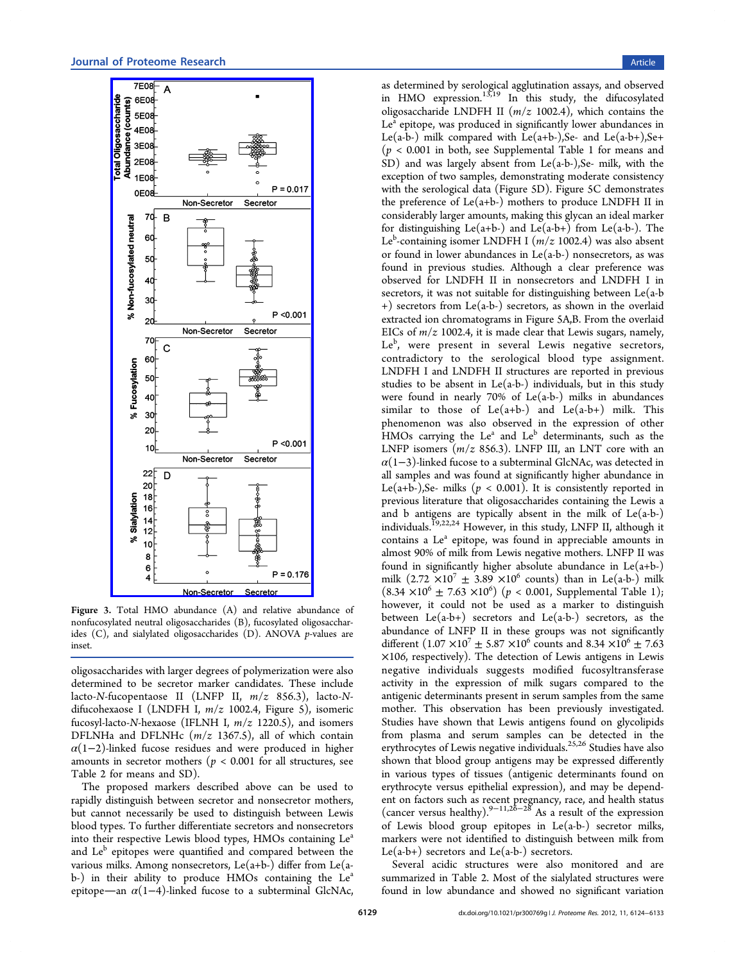<span id="page-5-0"></span>

Figure 3. [Total HMO abundance \(A\) and relative abu](http://pubs.acs.org/action/showImage?doi=10.1021/pr300769g&iName=master.img-004.png&w=167&h=436)ndance of nonfucosylated neutral oligosaccharides (B), fucosylated oligosaccharides (C), and sialylated oligosaccharides (D). ANOVA p-values are inset.

oligosaccharides with larger degrees of polymerization were also determined to be secretor marker candidates. These include lacto-N-fucopentaose II (LNFP II,  $m/z$  856.3), lacto-Ndifucohexaose I (LNDFH I,  $m/z$  1002.4, Figure 5), isomeric fucosyl-lacto-N-hexaose (IFLNH I,  $m/z$  1220.5), and isomers DFLNHa and DFLNHc  $(m/z 1367.5)$ , all of w[hi](#page-6-0)ch contain  $\alpha(1-2)$ -linked fucose residues and were produced in higher amounts in secretor mothers ( $p < 0.001$  for all structures, see Table 2 for means and SD).

The proposed markers described above can be used to rapidl[y d](#page-4-0)istinguish between secretor and nonsecretor mothers, but cannot necessarily be used to distinguish between Lewis blood types. To further differentiate secretors and nonsecretors into their respective Lewis blood types, HMOs containing Le<sup>a</sup> and Le<sup>b</sup> epitopes were quantified and compared between the various milks. Among nonsecretors, Le $(a+b-)$  differ from Le $(a-b)$ b-) in their ability to produce HMOs containing the  $Le<sup>a</sup>$ epitope—an  $\alpha(1-4)$ -linked fucose to a subterminal GlcNAc, as determined by serological agglutination assays, and observed in HMO expression.<sup>13,19</sup> In this study, the difucosylated oligosaccharide LNDFH II  $(m/z 1002.4)$ , which contains the Le<sup>a</sup> epitope, was prod[uced](#page-8-0) in significantly lower abundances in Le(a-b-) milk compared with Le(a+b-), Se- and Le(a-b+), Se+  $(p < 0.001$  in both, see Supplemental Table 1 for means and SD) and was largely absent from Le(a-b-),Se- milk, with the exception of two sample[s, demonstrating moder](#page-8-0)ate consistency with the serological data (Figure 5D). Figure 5C demonstrates the preference of  $Le(a+b-)$  mothers to produce LNDFH II in considerably larger amounts, mak[in](#page-6-0)g this glyca[n](#page-6-0) an ideal marker for distinguishing  $Le(a+b-)$  and  $Le(a-b+)$  from  $Le(a-b-)$ . The Le<sup>b</sup>-containing isomer LNDFH I  $(m/z\ 1002.4)$  was also absent or found in lower abundances in  $Le(a-b-)$  nonsecretors, as was found in previous studies. Although a clear preference was observed for LNDFH II in nonsecretors and LNDFH I in secretors, it was not suitable for distinguishing between Le(a-b +) secretors from Le(a-b-) secretors, as shown in the overlaid extracted ion chromatograms in Figure 5A,B. From the overlaid EICs of  $m/z$  1002.4, it is made clear that Lewis sugars, namely, Le<sup>b</sup>, were present in several Lew[is](#page-6-0) negative secretors, contradictory to the serological blood type assignment. LNDFH I and LNDFH II structures are reported in previous studies to be absent in  $Le(a-b-)$  individuals, but in this study were found in nearly  $70\%$  of Le(a-b-) milks in abundances similar to those of  $Le(a+b-)$  and  $Le(a-b+)$  milk. This phenomenon was also observed in the expression of other HMOs carrying the Le<sup>a</sup> and Le<sup>b</sup> determinants, such as the LNFP isomers  $(m/z 856.3)$ . LNFP III, an LNT core with an  $\alpha(1-3)$ -linked fucose to a subterminal GlcNAc, was detected in all samples and was found at significantly higher abundance in Le(a+b-),Se- milks ( $p < 0.001$ ). It is consistently reported in previous literature that oligosaccharides containing the Lewis a and b antigens are typically absent in the milk of  $Le(a-b-)$ individuals.19,22,24 However, in this study, LNFP II, although it contains a Le<sup>a</sup> epitope, was found in appreciable amounts in almost 90[% of mi](#page-8-0)lk from Lewis negative mothers. LNFP II was found in significantly higher absolute abundance in Le(a+b-) milk  $(2.72 \times 10^7 \pm 3.89 \times 10^6$  counts) than in Le(a-b-) milk  $(8.34 \times 10^{6} \pm 7.63 \times 10^{6})$   $(p < 0.001,$  Supplemental Table 1); however, it could not be used as a marker to distinguish between  $Le(a-b+)$  secretors and  $Le(a-b-)$  secretors, as the abundance of LNFP II in these groups was not significantly different  $(1.07 \times 10^7 \pm 5.87 \times 10^6 \text{ counts and } 8.34 \times 10^6 \pm 7.63$ ×106, respectively). The detection of Lewis antigens in Lewis negative individuals suggests modified fucosyltransferase activity in the expression of milk sugars compared to the antigenic determinants present in serum samples from the same mother. This observation has been previously investigated. Studies have shown that Lewis antigens found on glycolipids from plasma and serum samples can be detected in the erythrocytes of Lewis negative individuals.<sup>25,26</sup> Studies have also shown that blood group antigens may be expressed differently in various types of tissues (antigenic d[eterm](#page-8-0)inants found on erythrocyte versus epithelial expression), and may be dependent on factors such as recent pregnancy, race, and health status (cancer versus healthy).<sup>9−11,26−28</sup> As a result of the expression of Lewis blood group epitopes in Le(a-b-) secretor milks, markers were not ident[i](#page-8-0)fi[ed to](#page-8-0) [di](#page-9-0)stinguish between milk from Le(a-b+) secretors and Le(a-b-) secretors.

Several acidic structures were also monitored and are summarized in Table 2. Most of the sialylated structures were found in low abundance and showed no significant variation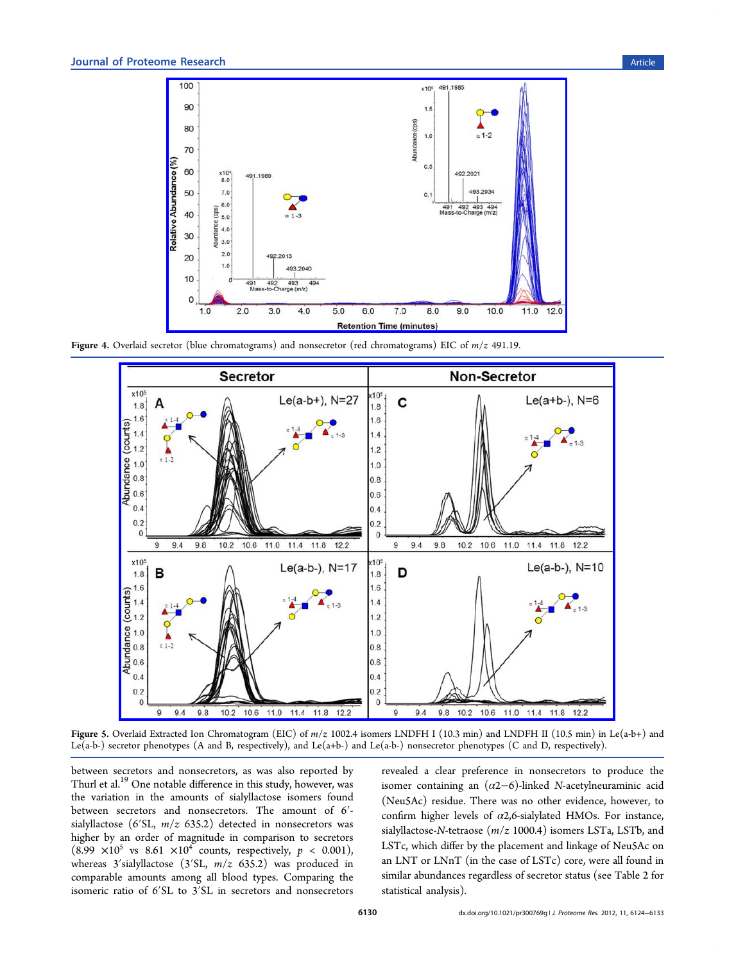<span id="page-6-0"></span>

Figure 4. Overlaid secr[etor \(blue chromatograms\) and nonsecretor \(red chromatograms\) EIC of](http://pubs.acs.org/action/showImage?doi=10.1021/pr300769g&iName=master.img-005.jpg&w=335&h=211) m/z 491.19.



Figure 5. Overlaid Extracted Ion Chromatogram (EIC) of  $m/z$  1002.4 isomers LNDFH I (10.3 min) and LNDFH II (10.5 min) in Le(a-b+) and Le(a-b-) sec[retor phenotypes \(A and B, respectively\), and Le\(a+b-\) and Le\(a-b-\) nonsecretor phenotypes \(C and D, respectively\).](http://pubs.acs.org/action/showImage?doi=10.1021/pr300769g&iName=master.img-006.jpg&w=416&h=299)

between secretors and nonsecretors, as was also reported by Thurl et al.<sup>19</sup> One notable difference in this study, however, was the variation in the amounts of sialyllactose isomers found between [sec](#page-8-0)retors and nonsecretors. The amount of 6′ sialyllactose (6'SL,  $m/z$  635.2) detected in nonsecretors was higher by an order of magnitude in comparison to secretors  $(8.99 \times 10^5 \text{ vs } 8.61 \times 10^4 \text{ counts, respectively, } p < 0.001)$ , whereas 3'sialyllactose (3'SL,  $m/z$  635.2) was produced in comparable amounts among all blood types. Comparing the isomeric ratio of 6′SL to 3′SL in secretors and nonsecretors

revealed a clear preference in nonsecretors to produce the isomer containing an  $(\alpha 2-6)$ -linked N-acetylneuraminic acid (Neu5Ac) residue. There was no other evidence, however, to confirm higher levels of  $\alpha$ 2,6-sialylated HMOs. For instance, sialyllactose-N-tetraose  $(m/z 1000.4)$  isomers LSTa, LSTb, and LSTc, which differ by the placement and linkage of Neu5Ac on an LNT or LNnT (in the case of LSTc) core, were all found in similar abundances regardless of secretor status (see Table 2 for statistical analysis).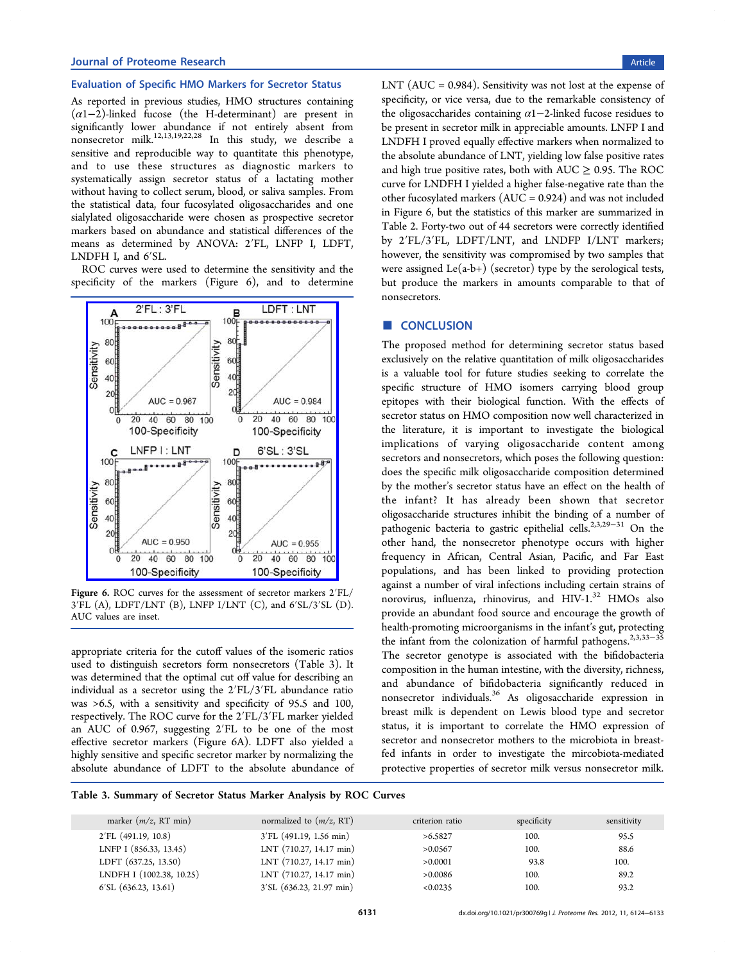## Evaluation of Specific HMO Markers for Secretor Status

As reported in previous studies, HMO structures containing  $(\alpha 1-2)$ -linked fucose (the H-determinant) are present in significantly lower abundance if not entirely absent from nonsecretor milk.<sup>12,13,19,22,28</sup> In this study, we describe a sensitive and reproducible way to quantitate this phenotype, and to use the[se struc](#page-8-0)[tu](#page-9-0)res as diagnostic markers to systematically assign secretor status of a lactating mother without having to collect serum, blood, or saliva samples. From the statistical data, four fucosylated oligosaccharides and one sialylated oligosaccharide were chosen as prospective secretor markers based on abundance and statistical differences of the means as determined by ANOVA: 2′FL, LNFP I, LDFT, LNDFH I, and 6′SL.

ROC curves were used to determine the sensitivity and the specificity of the markers (Figure 6), and to determine



Figure 6. [ROC curves for the assessment of secretor markers 2](http://pubs.acs.org/action/showImage?doi=10.1021/pr300769g&iName=master.img-007.jpg&w=209&h=232)′FL/ 3′FL (A), LDFT/LNT (B), LNFP I/LNT (C), and 6′SL/3′SL (D). AUC values are inset.

appropriate criteria for the cutoff values of the isomeric ratios used to distinguish secretors form nonsecretors (Table 3). It was determined that the optimal cut off value for describing an individual as a secretor using the 2′FL/3′FL abundance ratio was >6.5, with a sensitivity and specificity of 95.5 and 100, respectively. The ROC curve for the 2′FL/3′FL marker yielded an AUC of 0.967, suggesting 2′FL to be one of the most effective secretor markers (Figure 6A). LDFT also yielded a highly sensitive and specific secretor marker by normalizing the absolute abundance of LDFT to the absolute abundance of LNT ( $AUC = 0.984$ ). Sensitivity was not lost at the expense of specificity, or vice versa, due to the remarkable consistency of the oligosaccharides containing  $\alpha$ 1−2-linked fucose residues to be present in secretor milk in appreciable amounts. LNFP I and LNDFH I proved equally effective markers when normalized to the absolute abundance of LNT, yielding low false positive rates and high true positive rates, both with  $AUC \geq 0.95$ . The ROC curve for LNDFH I yielded a higher false-negative rate than the other fucosylated markers (AUC = 0.924) and was not included in Figure 6, but the statistics of this marker are summarized in Table 2. Forty-two out of 44 secretors were correctly identified by 2′FL/3′FL, LDFT/LNT, and LNDFP I/LNT markers; howev[e](#page-4-0)r, the sensitivity was compromised by two samples that were assigned  $Le(a-b+)$  (secretor) type by the serological tests, but produce the markers in amounts comparable to that of nonsecretors.

## ■ CONCLUSION

The proposed method for determining secretor status based exclusively on the relative quantitation of milk oligosaccharides is a valuable tool for future studies seeking to correlate the specific structure of HMO isomers carrying blood group epitopes with their biological function. With the effects of secretor status on HMO composition now well characterized in the literature, it is important to investigate the biological implications of varying oligosaccharide content among secretors and nonsecretors, which poses the following question: does the specific milk oligosaccharide composition determined by the mother's secretor status have an effect on the health of the infant? It has already been shown that secretor oligosaccharide structures inhibit the binding of a number of pathogenic bacteria to gastric epithelial cells.<sup>2,3,29−31</sup> On the other hand, the nonsecretor phenotype occurs with higher frequency in African, Central Asian, Pacifi[c,](#page-8-0) [and F](#page-9-0)ar East populations, and has been linked to providing protection against a number of viral infections including certain strains of norovirus, influenza, rhinovirus, and  $HIV-1.^{32}$  HMOs also provide an abundant food source and encourage the growth of health-promoting microorganisms in the infant'[s g](#page-9-0)ut, protecting the infant from the colonization of harmful pathogens.<sup>2,3,33–35</sup> The secretor genotype is associated with the bifidobacteria composition in the human intestine, with the diversity, [rich](#page-8-0)[ness,](#page-9-0) and abundance of bifidobacteria significantly reduced in nonsecretor individuals.<sup>36</sup> As oligosaccharide expression in breast milk is dependent on Lewis blood type and secretor status, it is important [to](#page-9-0) correlate the HMO expression of secretor and nonsecretor mothers to the microbiota in breastfed infants in order to investigate the mircobiota-mediated protective properties of secretor milk versus nonsecretor milk.

Table 3. Summary of Secretor Status Marker Analysis by ROC Curves

| marker $(m/z, RT \text{ min})$ | normalized to $(m/z, RT)$         | criterion ratio | specificity | sensitivity |
|--------------------------------|-----------------------------------|-----------------|-------------|-------------|
| $2'FL$ (491.19, 10.8)          | $3'FL$ (491.19, 1.56 min)         | >6.5827         | 100.        | 95.5        |
| LNFP I (856.33, 13.45)         | $LNT$ (710.27, 14.17 min)         | >0.0567         | 100.        | 88.6        |
| LDFT (637.25, 13.50)           | $LNT$ (710.27, 14.17 min)         | >0.0001         | 93.8        | 100.        |
| LNDFH I (1002.38, 10.25)       | LNT (710.27, 14.17 min)           | >0.0086         | 100.        | 89.2        |
| 6'SL(636.23, 13.61)            | $3'SL(636.23, 21.97 \text{ min})$ | < 0.0235        | 100.        | 93.2        |
|                                |                                   |                 |             |             |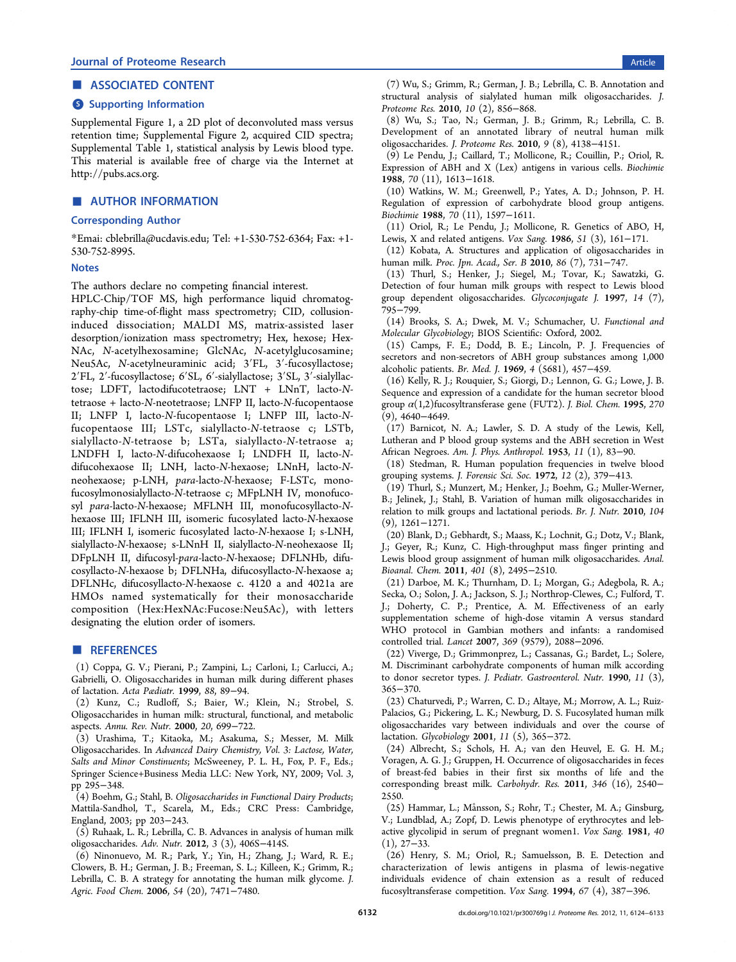## <span id="page-8-0"></span>■ ASSOCIATED CONTENT

#### **S** Supporting Information

Supplemental Figure 1, a 2D plot of deconvoluted mass versus retention time; Supplemental Figure 2, acquired CID spectra; Supplemental Table 1, statistical analysis by Lewis blood type. This material is available free of charge via the Internet at http://pubs.acs.org.

## ■ [AUTHOR INF](http://pubs.acs.org)ORMATION

## Corresponding Author

\*Emai: cblebrilla@ucdavis.edu; Tel: +1-530-752-6364; Fax: +1- 530-752-8995.

#### **Notes**

The authors declare no competing financial interest.

HPLC-Chip/TOF MS, high performance liquid chromatography-chip time-of-flight mass spectrometry; CID, collusioninduced dissociation; MALDI MS, matrix-assisted laser desorption/ionization mass spectrometry; Hex, hexose; Hex-NAc, N-acetylhexosamine; GlcNAc, N-acetylglucosamine; Neu5Ac, N-acetylneuraminic acid; 3′FL, 3′-fucosyllactose; 2′FL, 2′-fucosyllactose; 6′SL, 6′-sialyllactose; 3′SL, 3′-sialyllactose; LDFT, lactodifucotetraose; LNT + LNnT, lacto-Ntetraose + lacto-N-neotetraose; LNFP II, lacto-N-fucopentaose II; LNFP I, lacto-N-fucopentaose I; LNFP III, lacto-Nfucopentaose III; LSTc, sialyllacto-N-tetraose c; LSTb, sialyllacto-N-tetraose b; LSTa, sialyllacto-N-tetraose a; LNDFH I, lacto-N-difucohexaose I; LNDFH II, lacto-Ndifucohexaose II; LNH, lacto-N-hexaose; LNnH, lacto-Nneohexaose; p-LNH, para-lacto-N-hexaose; F-LSTc, monofucosylmonosialyllacto-N-tetraose c; MFpLNH IV, monofucosyl para-lacto-N-hexaose; MFLNH III, monofucosyllacto-Nhexaose III; IFLNH III, isomeric fucosylated lacto-N-hexaose III; IFLNH I, isomeric fucosylated lacto-N-hexaose I; s-LNH, sialyllacto-N-hexaose; s-LNnH II, sialyllacto-N-neohexaose II; DFpLNH II, difucosyl-para-lacto-N-hexaose; DFLNHb, difucosyllacto-N-hexaose b; DFLNHa, difucosyllacto-N-hexaose a; DFLNHc, difucosyllacto-N-hexaose c. 4120 a and 4021a are HMOs named systematically for their monosaccharide composition (Hex:HexNAc:Fucose:Neu5Ac), with letters designating the elution order of isomers.

#### ■ REFERENCES

(1) Coppa, G. V.; Pierani, P.; Zampini, L.; Carloni, I.; Carlucci, A.; Gabrielli, O. Oligosaccharides in human milk during different phases of lactation. Acta Pædiatr. 1999, 88, 89−94.

(2) Kunz, C.; Rudloff, S.; Baier, W.; Klein, N.; Strobel, S. Oligosaccharides in human milk: structural, functional, and metabolic aspects. Annu. Rev. Nutr. 2000, 20, 699−722.

(3) Urashima, T.; Kitaoka, M.; Asakuma, S.; Messer, M. Milk Oligosaccharides. In Advanced Dairy Chemistry, Vol. 3: Lactose, Water, Salts and Minor Constinuents; McSweeney, P. L. H., Fox, P. F., Eds.; Springer Science+Business Media LLC: New York, NY, 2009; Vol. 3, pp 295−348.

(4) Boehm, G.; Stahl, B. Oligosaccharides in Functional Dairy Products; Mattila-Sandhol, T., Scarela, M., Eds.; CRC Press: Cambridge, England, 2003; pp 203−243.

(5) Ruhaak, L. R.; Lebrilla, C. B. Advances in analysis of human milk oligosaccharides. Adv. Nutr. 2012, 3 (3), 406S−414S.

(6) Ninonuevo, M. R.; Park, Y.; Yin, H.; Zhang, J.; Ward, R. E.; Clowers, B. H.; German, J. B.; Freeman, S. L.; Killeen, K.; Grimm, R.; Lebrilla, C. B. A strategy for annotating the human milk glycome. J. Agric. Food Chem. 2006, 54 (20), 7471−7480.

(7) Wu, S.; Grimm, R.; German, J. B.; Lebrilla, C. B. Annotation and structural analysis of sialylated human milk oligosaccharides. J. Proteome Res. 2010, 10 (2), 856−868.

(8) Wu, S.; Tao, N.; German, J. B.; Grimm, R.; Lebrilla, C. B. Development of an annotated library of neutral human milk oligosaccharides. J. Proteome Res. 2010, 9 (8), 4138−4151.

(9) Le Pendu, J.; Caillard, T.; Mollicone, R.; Couillin, P.; Oriol, R. Expression of ABH and X (Lex) antigens in various cells. Biochimie 1988, 70 (11), 1613−1618.

(10) Watkins, W. M.; Greenwell, P.; Yates, A. D.; Johnson, P. H. Regulation of expression of carbohydrate blood group antigens. Biochimie 1988, 70 (11), 1597−1611.

(11) Oriol, R.; Le Pendu, J.; Mollicone, R. Genetics of ABO, H, Lewis, X and related antigens. Vox Sang. 1986, 51 (3), 161−171.

(12) Kobata, A. Structures and application of oligosaccharides in human milk. Proc. Jpn. Acad., Ser. B 2010, 86 (7), 731−747.

(13) Thurl, S.; Henker, J.; Siegel, M.; Tovar, K.; Sawatzki, G. Detection of four human milk groups with respect to Lewis blood group dependent oligosaccharides. Glycoconjugate J. 1997, 14 (7), 795−799.

(14) Brooks, S. A.; Dwek, M. V.; Schumacher, U. Functional and Molecular Glycobiology; BIOS Scientific: Oxford, 2002.

(15) Camps, F. E.; Dodd, B. E.; Lincoln, P. J. Frequencies of secretors and non-secretors of ABH group substances among 1,000 alcoholic patients. Br. Med. J. 1969, 4 (5681), 457−459.

(16) Kelly, R. J.; Rouquier, S.; Giorgi, D.; Lennon, G. G.; Lowe, J. B. Sequence and expression of a candidate for the human secretor blood group  $\alpha(1,2)$ fucosyltransferase gene (FUT2). J. Biol. Chem. 1995, 270 (9), 4640−4649.

(17) Barnicot, N. A.; Lawler, S. D. A study of the Lewis, Kell, Lutheran and P blood group systems and the ABH secretion in West African Negroes. Am. J. Phys. Anthropol. 1953, 11 (1), 83−90.

(18) Stedman, R. Human population frequencies in twelve blood grouping systems. J. Forensic Sci. Soc. 1972, 12 (2), 379−413.

(19) Thurl, S.; Munzert, M.; Henker, J.; Boehm, G.; Muller-Werner, B.; Jelinek, J.; Stahl, B. Variation of human milk oligosaccharides in relation to milk groups and lactational periods. Br. J. Nutr. 2010, 104 (9), 1261−1271.

(20) Blank, D.; Gebhardt, S.; Maass, K.; Lochnit, G.; Dotz, V.; Blank, J.; Geyer, R.; Kunz, C. High-throughput mass finger printing and Lewis blood group assignment of human milk oligosaccharides. Anal. Bioanal. Chem. 2011, 401 (8), 2495−2510.

(21) Darboe, M. K.; Thurnham, D. I.; Morgan, G.; Adegbola, R. A.; Secka, O.; Solon, J. A.; Jackson, S. J.; Northrop-Clewes, C.; Fulford, T. J.; Doherty, C. P.; Prentice, A. M. Effectiveness of an early supplementation scheme of high-dose vitamin A versus standard WHO protocol in Gambian mothers and infants: a randomised controlled trial. Lancet 2007, 369 (9579), 2088−2096.

(22) Viverge, D.; Grimmonprez, L.; Cassanas, G.; Bardet, L.; Solere, M. Discriminant carbohydrate components of human milk according to donor secretor types. J. Pediatr. Gastroenterol. Nutr. 1990, 11 (3), 365−370.

(23) Chaturvedi, P.; Warren, C. D.; Altaye, M.; Morrow, A. L.; Ruiz-Palacios, G.; Pickering, L. K.; Newburg, D. S. Fucosylated human milk oligosaccharides vary between individuals and over the course of lactation. Glycobiology 2001, 11 (5), 365−372.

(24) Albrecht, S.; Schols, H. A.; van den Heuvel, E. G. H. M.; Voragen, A. G. J.; Gruppen, H. Occurrence of oligosaccharides in feces of breast-fed babies in their first six months of life and the corresponding breast milk. Carbohydr. Res. 2011, 346 (16), 2540− 2550.

(25) Hammar, L.; Månsson, S.; Rohr, T.; Chester, M. A.; Ginsburg, V.; Lundblad, A.; Zopf, D. Lewis phenotype of erythrocytes and lebactive glycolipid in serum of pregnant women1. Vox Sang. 1981, 40 (1), 27−33.

(26) Henry, S. M.; Oriol, R.; Samuelsson, B. E. Detection and characterization of lewis antigens in plasma of lewis-negative individuals evidence of chain extension as a result of reduced fucosyltransferase competition. Vox Sang. 1994, 67 (4), 387−396.